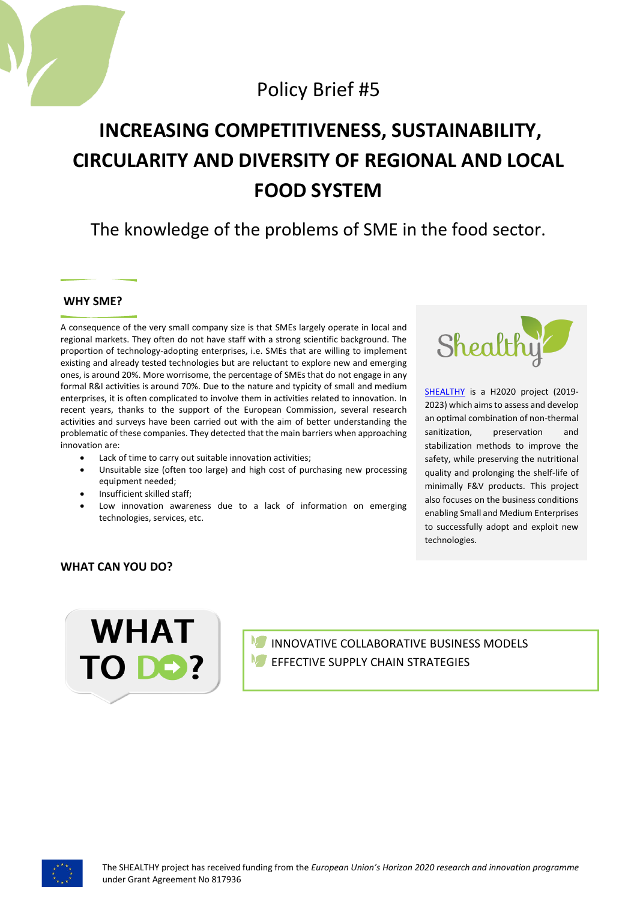

# Policy Brief #5

# **INCREASING COMPETITIVENESS, SUSTAINABILITY, CIRCULARITY AND DIVERSITY OF REGIONAL AND LOCAL FOOD SYSTEM**

# The knowledge of the problems of SME in the food sector.

## **WHY SME?**

A consequence of the very small company size is that SMEs largely operate in local and regional markets. They often do not have staff with a strong scientific background. The proportion of technology-adopting enterprises, i.e. SMEs that are willing to implement existing and already tested technologies but are reluctant to explore new and emerging ones, is around 20%. More worrisome, the percentage of SMEs that do not engage in any formal R&I activities is around 70%. Due to the nature and typicity of small and medium enterprises, it is often complicated to involve them in activities related to innovation. In recent years, thanks to the support of the European Commission, several research activities and surveys have been carried out with the aim of better understanding the problematic of these companies. They detected that the main barriers when approaching innovation are:

- Lack of time to carry out suitable innovation activities;
- Unsuitable size (often too large) and high cost of purchasing new processing equipment needed;
- Insufficient skilled staff;
- Low innovation awareness due to a lack of information on emerging technologies, services, etc.



[SHEALTHY](http://www.shealthy.eu/) is a H2020 project (2019-2023) which aims to assess and develop an optimal combination of non-thermal sanitization, preservation and stabilization methods to improve the safety, while preserving the nutritional quality and prolonging the shelf-life of minimally F&V products. This project also focuses on the business conditions enabling Small and Medium Enterprises to successfully adopt and exploit new technologies.

## **WHAT CAN YOU DO?**



INNOVATIVE COLLABORATIVE BUSINESS MODELS EFFECTIVE SUPPLY CHAIN STRATEGIES